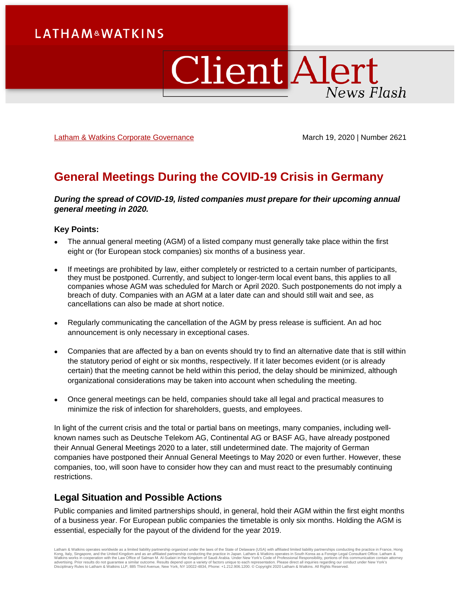# **Client Alert** News Flash

[Latham & Watkins Corporate Governance](https://www.lw.com/practices/CorporateGovernance) March 19, 2020 | Number 2621

# **General Meetings During the COVID-19 Crisis in Germany**

*During the spread of COVID-19, listed companies must prepare for their upcoming annual general meeting in 2020.*

#### **Key Points:**

- The annual general meeting (AGM) of a listed company must generally take place within the first eight or (for European stock companies) six months of a business year.
- If meetings are prohibited by law, either completely or restricted to a certain number of participants, they must be postponed. Currently, and subject to longer-term local event bans, this applies to all companies whose AGM was scheduled for March or April 2020. Such postponements do not imply a breach of duty. Companies with an AGM at a later date can and should still wait and see, as cancellations can also be made at short notice.
- Regularly communicating the cancellation of the AGM by press release is sufficient. An ad hoc announcement is only necessary in exceptional cases.
- Companies that are affected by a ban on events should try to find an alternative date that is still within the statutory period of eight or six months, respectively. If it later becomes evident (or is already certain) that the meeting cannot be held within this period, the delay should be minimized, although organizational considerations may be taken into account when scheduling the meeting.
- Once general meetings can be held, companies should take all legal and practical measures to minimize the risk of infection for shareholders, guests, and employees.

In light of the current crisis and the total or partial bans on meetings, many companies, including wellknown names such as Deutsche Telekom AG, Continental AG or BASF AG, have already postponed their Annual General Meetings 2020 to a later, still undetermined date. The majority of German companies have postponed their Annual General Meetings to May 2020 or even further. However, these companies, too, will soon have to consider how they can and must react to the presumably continuing restrictions.

## **Legal Situation and Possible Actions**

Public companies and limited partnerships should, in general, hold their AGM within the first eight months of a business year. For European public companies the timetable is only six months. Holding the AGM is essential, especially for the payout of the dividend for the year 2019.

Latham & Watkins operates worldwide as a limited liability partnership organized under the laws of the State of Delaware (USA) with affiliated limited liability partnerships conducting the practice in France, Hong<br>Kong, It Disciplinary Rules to Latham & Watkins LLP, 885 Third Avenue, New York, NY 10022-4834, Phone: +1.212.906.1200. © Copyright 2020 Latham & Watkins. All Rights Reserved.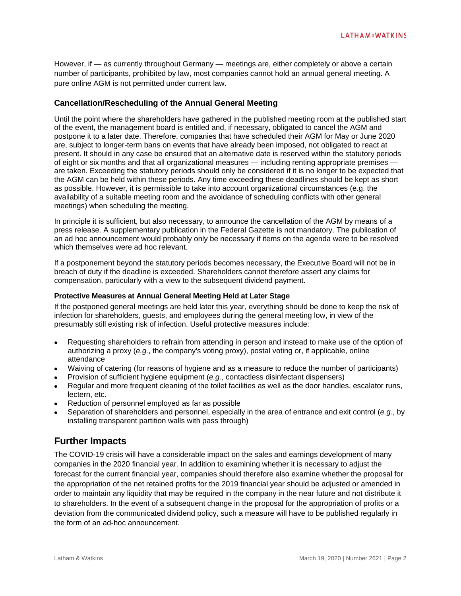However, if — as currently throughout Germany — meetings are, either completely or above a certain number of participants, prohibited by law, most companies cannot hold an annual general meeting. A pure online AGM is not permitted under current law.

#### **Cancellation/Rescheduling of the Annual General Meeting**

Until the point where the shareholders have gathered in the published meeting room at the published start of the event, the management board is entitled and, if necessary, obligated to cancel the AGM and postpone it to a later date. Therefore, companies that have scheduled their AGM for May or June 2020 are, subject to longer-term bans on events that have already been imposed, not obligated to react at present. It should in any case be ensured that an alternative date is reserved within the statutory periods of eight or six months and that all organizational measures — including renting appropriate premises are taken. Exceeding the statutory periods should only be considered if it is no longer to be expected that the AGM can be held within these periods. Any time exceeding these deadlines should be kept as short as possible. However, it is permissible to take into account organizational circumstances (e.g. the availability of a suitable meeting room and the avoidance of scheduling conflicts with other general meetings) when scheduling the meeting.

In principle it is sufficient, but also necessary, to announce the cancellation of the AGM by means of a press release. A supplementary publication in the Federal Gazette is not mandatory. The publication of an ad hoc announcement would probably only be necessary if items on the agenda were to be resolved which themselves were ad hoc relevant.

If a postponement beyond the statutory periods becomes necessary, the Executive Board will not be in breach of duty if the deadline is exceeded. Shareholders cannot therefore assert any claims for compensation, particularly with a view to the subsequent dividend payment.

#### **Protective Measures at Annual General Meeting Held at Later Stage**

If the postponed general meetings are held later this year, everything should be done to keep the risk of infection for shareholders, guests, and employees during the general meeting low, in view of the presumably still existing risk of infection. Useful protective measures include:

- Requesting shareholders to refrain from attending in person and instead to make use of the option of authorizing a proxy (*e.g.*, the company's voting proxy), postal voting or, if applicable, online attendance
- Waiving of catering (for reasons of hygiene and as a measure to reduce the number of participants)
- Provision of sufficient hygiene equipment (*e.g.*, contactless disinfectant dispensers)
- Regular and more frequent cleaning of the toilet facilities as well as the door handles, escalator runs, lectern, etc.
- Reduction of personnel employed as far as possible
- Separation of shareholders and personnel, especially in the area of entrance and exit control (*e.g.*, by installing transparent partition walls with pass through)

### **Further Impacts**

The COVID-19 crisis will have a considerable impact on the sales and earnings development of many companies in the 2020 financial year. In addition to examining whether it is necessary to adjust the forecast for the current financial year, companies should therefore also examine whether the proposal for the appropriation of the net retained profits for the 2019 financial year should be adjusted or amended in order to maintain any liquidity that may be required in the company in the near future and not distribute it to shareholders. In the event of a subsequent change in the proposal for the appropriation of profits or a deviation from the communicated dividend policy, such a measure will have to be published regularly in the form of an ad-hoc announcement.